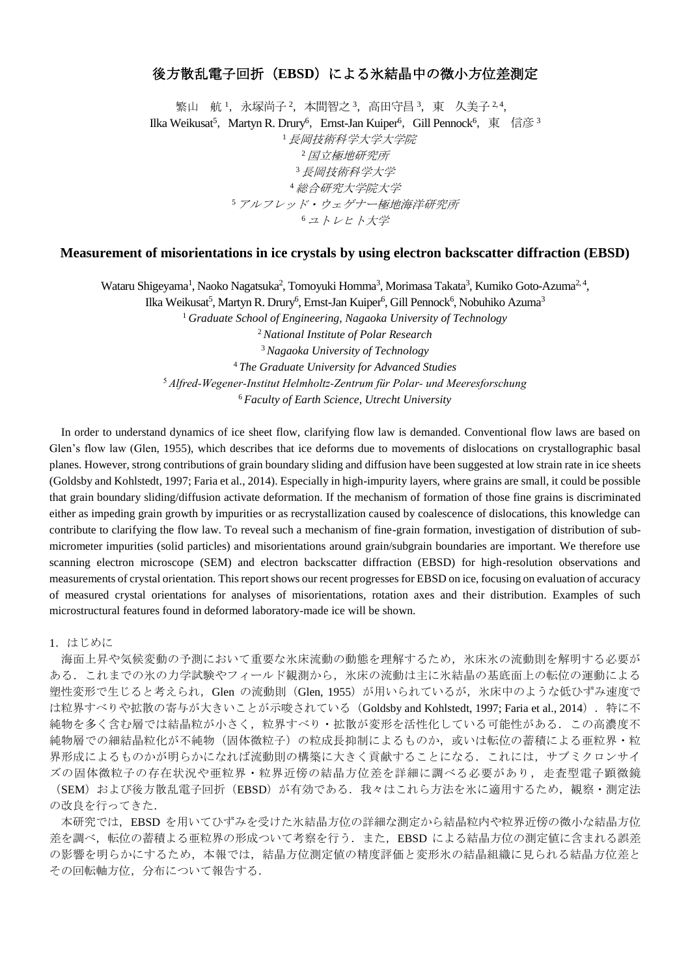# 後方散乱電子回折(**EBSD**)による氷結晶中の微小方位差測定

繁山 航 1, 永塚尚子 2, 本間智之 3, 高田守昌 3, 東 久美子 2,4, Ilka Weikusat<sup>5</sup>, Martyn R. Drury<sup>6</sup>, Ernst-Jan Kuiper<sup>6</sup>, Gill Pennock<sup>6</sup>, 東 信彦 3 <sup>1</sup>長岡技術科学大学大学院 <sup>2</sup>国立極地研究所 <sup>3</sup>長岡技術科学大学 <sup>4</sup>総合研究大学院大学 <sup>5</sup>アルフレッド・ウェゲナー極地海洋研究所 <sup>6</sup>ユトレヒト大学

# **Measurement of misorientations in ice crystals by using electron backscatter diffraction (EBSD)**

Wataru Shigeyama<sup>1</sup>, Naoko Nagatsuka<sup>2</sup>, Tomoyuki Homma<sup>3</sup>, Morimasa Takata<sup>3</sup>, Kumiko Goto-Azuma<sup>2, 4</sup>,

Ilka Weikusat<sup>5</sup>, Martyn R. Drury<sup>6</sup>, Ernst-Jan Kuiper<sup>6</sup>, Gill Pennock<sup>6</sup>, Nobuhiko Azuma<sup>3</sup> *Graduate School of Engineering, Nagaoka University of Technology National Institute of Polar Research Nagaoka University of Technology The Graduate University for Advanced Studies Alfred-Wegener-Institut Helmholtz-Zentrum für Polar- und Meeresforschung Faculty of Earth Science, Utrecht University*

 In order to understand dynamics of ice sheet flow, clarifying flow law is demanded. Conventional flow laws are based on Glen's flow law (Glen, 1955), which describes that ice deforms due to movements of dislocations on crystallographic basal planes. However, strong contributions of grain boundary sliding and diffusion have been suggested at low strain rate in ice sheets (Goldsby and Kohlstedt, 1997; Faria et al., 2014). Especially in high-impurity layers, where grains are small, it could be possible that grain boundary sliding/diffusion activate deformation. If the mechanism of formation of those fine grains is discriminated either as impeding grain growth by impurities or as recrystallization caused by coalescence of dislocations, this knowledge can contribute to clarifying the flow law. To reveal such a mechanism of fine-grain formation, investigation of distribution of submicrometer impurities (solid particles) and misorientations around grain/subgrain boundaries are important. We therefore use scanning electron microscope (SEM) and electron backscatter diffraction (EBSD) for high-resolution observations and measurements of crystal orientation. This report shows our recent progresses for EBSD on ice, focusing on evaluation of accuracy of measured crystal orientations for analyses of misorientations, rotation axes and their distribution. Examples of such microstructural features found in deformed laboratory-made ice will be shown.

1.はじめに

海面上昇や気候変動の予測において重要な氷床流動の動態を理解するため,氷床氷の流動則を解明する必要が ある.これまでの氷の力学試験やフィールド観測から,氷床の流動は主に氷結晶の基底面上の転位の運動による 塑性変形で生じると考えられ, Glen の流動則 (Glen, 1955) が用いられているが, 氷床中のような低ひずみ速度で は粒界すべりや拡散の寄与が大きいことが示唆されている (Goldsby and Kohlstedt, 1997; Faria et al., 2014). 特に不 純物を多く含む層では結晶粒が小さく,粒界すべり・拡散が変形を活性化している可能性がある.この高濃度不 純物層での細結晶粒化が不純物(固体微粒子)の粒成長抑制によるものか,或いは転位の蓄積による亜粒界・粒 界形成によるものかが明らかになれば流動則の構築に大きく貢献することになる. これには、サブミクロンサイ ズの固体微粒子の存在状況や亜粒界・粒界近傍の結晶方位差を詳細に調べる必要があり,走査型電子顕微鏡 (SEM) および後方散乱電子回折 (EBSD) が有効である. 我々はこれら方法を氷に適用するため, 観察・測定法 の改良を行ってきた.

本研究では,EBSD を用いてひずみを受けた氷結晶方位の詳細な測定から結晶粒内や粒界近傍の微小な結晶方位 差を調べ,転位の蓄積よる亜粒界の形成ついて考察を行う.また,EBSD による結晶方位の測定値に含まれる誤差 の影響を明らかにするため,本報では,結晶方位測定値の精度評価と変形氷の結晶組織に見られる結晶方位差と その回転軸方位,分布について報告する.